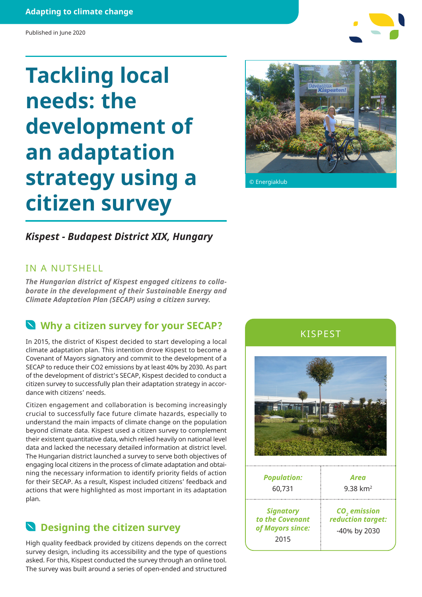#### **Adapting to climate change**

#### Published in June 2020

# **Tackling local needs: the development of an adaptation strategy using a citizen survey**



© Energiaklub

### *Kispest - Budapest District XIX, Hungary*

### IN A NUTSHELL

*The Hungarian district of Kispest engaged citizens to collaborate in the development of their Sustainable Energy and Climate Adaptation Plan (SECAP) using a citizen survey.*

### **Why a citizen survey for your SECAP?**

In 2015, the district of Kispest decided to start developing a local climate adaptation plan. This intention drove Kispest to become a Covenant of Mayors signatory and commit to the development of a SECAP to reduce their CO2 emissions by at least 40% by 2030. As part of the development of district's SECAP, Kispest decided to conduct a citizen survey to successfully plan their adaptation strategy in accordance with citizens' needs.

Citizen engagement and collaboration is becoming increasingly crucial to successfully face future climate hazards, especially to understand the main impacts of climate change on the population beyond climate data. Kispest used a citizen survey to complement their existent quantitative data, which relied heavily on national level data and lacked the necessary detailed information at district level. The Hungarian district launched a survey to serve both objectives of engaging local citizens in the process of climate adaptation and obtaining the necessary information to identify priority fields of action for their SECAP. As a result, Kispest included citizens' feedback and actions that were highlighted as most important in its adaptation plan.

### **Designing the citizen survey**

High quality feedback provided by citizens depends on the correct survey design, including its accessibility and the type of questions asked. For this, Kispest conducted the survey through an online tool. The survey was built around a series of open-ended and structured

KISPEST



| <b>Population:</b>                                              | Area                                                          |
|-----------------------------------------------------------------|---------------------------------------------------------------|
| 60,731                                                          | $9.38 \text{ km}^2$                                           |
| <b>Signatory</b><br>to the Covenant<br>of Mayors since:<br>2015 | CO <sub>2</sub> emission<br>reduction target:<br>-40% by 2030 |